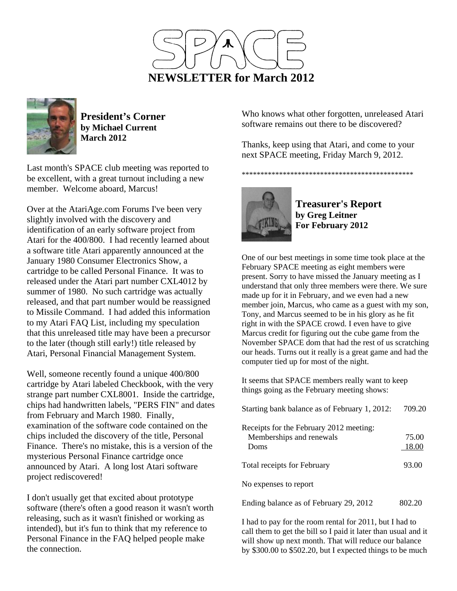



**President's Corner by Michael Current March 2012**

Last month's SPACE club meeting was reported to be excellent, with a great turnout including a new member. Welcome aboard, Marcus!

Over at the AtariAge.com Forums I've been very slightly involved with the discovery and identification of an early software project from Atari for the 400/800. I had recently learned about a software title Atari apparently announced at the January 1980 Consumer Electronics Show, a cartridge to be called Personal Finance. It was to released under the Atari part number CXL4012 by summer of 1980. No such cartridge was actually released, and that part number would be reassigned to Missile Command. I had added this information to my Atari FAQ List, including my speculation that this unreleased title may have been a precursor to the later (though still early!) title released by Atari, Personal Financial Management System.

Well, someone recently found a unique 400/800 cartridge by Atari labeled Checkbook, with the very strange part number CXL8001. Inside the cartridge, chips had handwritten labels, "PERS FIN" and dates from February and March 1980. Finally, examination of the software code contained on the chips included the discovery of the title, Personal Finance. There's no mistake, this is a version of the mysterious Personal Finance cartridge once announced by Atari. A long lost Atari software project rediscovered!

I don't usually get that excited about prototype software (there's often a good reason it wasn't worth releasing, such as it wasn't finished or working as intended), but it's fun to think that my reference to Personal Finance in the FAQ helped people make the connection.

Who knows what other forgotten, unreleased Atari software remains out there to be discovered?

Thanks, keep using that Atari, and come to your next SPACE meeting, Friday March 9, 2012.

\*\*\*\*\*\*\*\*\*\*\*\*\*\*\*\*\*\*\*\*\*\*\*\*\*\*\*\*\*\*\*\*\*\*\*\*\*\*\*\*\*\*\*\*\*\*



**Treasurer's Report by Greg Leitner For February 2012** 

One of our best meetings in some time took place at the February SPACE meeting as eight members were present. Sorry to have missed the January meeting as I understand that only three members were there. We sure made up for it in February, and we even had a new member join, Marcus, who came as a guest with my son, Tony, and Marcus seemed to be in his glory as he fit right in with the SPACE crowd. I even have to give Marcus credit for figuring out the cube game from the November SPACE dom that had the rest of us scratching our heads. Turns out it really is a great game and had the computer tied up for most of the night.

It seems that SPACE members really want to keep things going as the February meeting shows:

| Starting bank balance as of February 1, 2012:                               | 709.20         |
|-----------------------------------------------------------------------------|----------------|
| Receipts for the February 2012 meeting:<br>Memberships and renewals<br>Doms | 75.00<br>18.00 |
| <b>Total receipts for February</b>                                          | 93.00          |
| No expenses to report                                                       |                |
| Ending balance as of February 29, 2012                                      |                |

I had to pay for the room rental for 2011, but I had to call them to get the bill so I paid it later than usual and it will show up next month. That will reduce our balance by \$300.00 to \$502.20, but I expected things to be much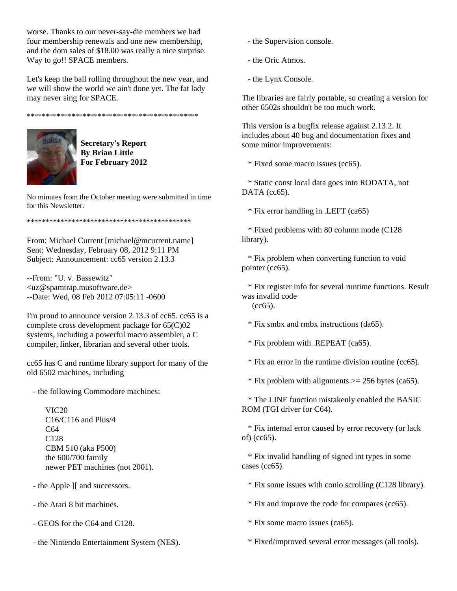worse. Thanks to our never-say-die members we had four membership renewals and one new membership, and the dom sales of \$18.00 was really a nice surprise. Way to go!! SPACE members.

Let's keep the ball rolling throughout the new year, and we will show the world we ain't done yet. The fat lady may never sing for SPACE.

\*\*\*\*\*\*\*\*\*\*\*\*\*\*\*\*\*\*\*\*\*\*\*\*\*\*\*\*\*\*\*\*\*\*\*\*\*\*\*\*\*\*\*\*\*\*



**Secretary's Report By Brian Little For February 2012** 

No minutes from the October meeting were submitted in time for this Newsletter.

\*\*\*\*\*\*\*\*\*\*\*\*\*\*\*\*\*\*\*\*\*\*\*\*\*\*\*\*\*\*\*\*\*\*\*\*\*\*\*\*\*\*\*\*

From: Michael Current [michael@mcurrent.name] Sent: Wednesday, February 08, 2012 9:11 PM Subject: Announcement: cc65 version 2.13.3

--From: "U. v. Bassewitz" <uz@spamtrap.musoftware.de> --Date: Wed, 08 Feb 2012 07:05:11 -0600

I'm proud to announce version 2.13.3 of cc65. cc65 is a complete cross development package for 65(C)02 systems, including a powerful macro assembler, a C compiler, linker, librarian and several other tools.

cc65 has C and runtime library support for many of the old 6502 machines, including

- the following Commodore machines:

 VIC20 C16/C116 and Plus/4 C64 C128 CBM 510 (aka P500) the 600/700 family newer PET machines (not 2001).

- the Apple ][ and successors.

- the Atari 8 bit machines.

- GEOS for the C64 and C128.

- the Nintendo Entertainment System (NES).

- the Supervision console.

- the Oric Atmos.

- the Lynx Console.

The libraries are fairly portable, so creating a version for other 6502s shouldn't be too much work.

This version is a bugfix release against 2.13.2. It includes about 40 bug and documentation fixes and some minor improvements:

\* Fixed some macro issues (cc65).

 \* Static const local data goes into RODATA, not DATA (cc65).

\* Fix error handling in .LEFT (ca65)

 \* Fixed problems with 80 column mode (C128 library).

 \* Fix problem when converting function to void pointer (cc65).

 \* Fix register info for several runtime functions. Result was invalid code

 $(cc65)$ .

\* Fix smbx and rmbx instructions (da65).

\* Fix problem with .REPEAT (ca65).

\* Fix an error in the runtime division routine (cc65).

 $*$  Fix problem with alignments  $> = 256$  bytes (ca65).

 \* The LINE function mistakenly enabled the BASIC ROM (TGI driver for C64).

 \* Fix internal error caused by error recovery (or lack of) (cc65).

 \* Fix invalid handling of signed int types in some cases (cc65).

\* Fix some issues with conio scrolling (C128 library).

\* Fix and improve the code for compares (cc65).

\* Fix some macro issues (ca65).

\* Fixed/improved several error messages (all tools).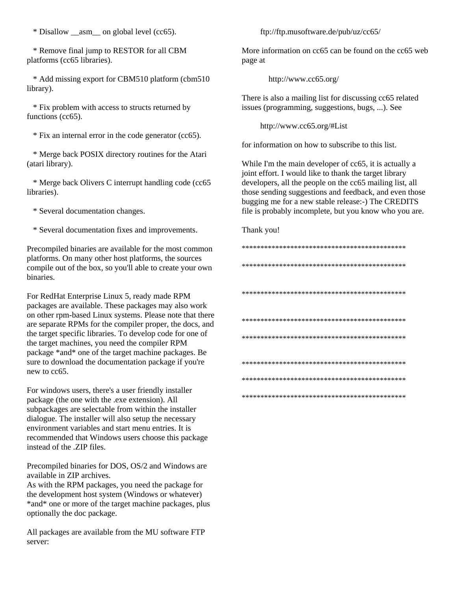\* Disallow \_\_asm\_\_ on global level (cc65).

 \* Remove final jump to RESTOR for all CBM platforms (cc65 libraries).

 \* Add missing export for CBM510 platform (cbm510 library).

 \* Fix problem with access to structs returned by functions (cc65).

\* Fix an internal error in the code generator (cc65).

 \* Merge back POSIX directory routines for the Atari (atari library).

 \* Merge back Olivers C interrupt handling code (cc65 libraries).

\* Several documentation changes.

\* Several documentation fixes and improvements.

Precompiled binaries are available for the most common platforms. On many other host platforms, the sources compile out of the box, so you'll able to create your own binaries.

For RedHat Enterprise Linux 5, ready made RPM packages are available. These packages may also work on other rpm-based Linux systems. Please note that there are separate RPMs for the compiler proper, the docs, and the target specific libraries. To develop code for one of the target machines, you need the compiler RPM package \*and\* one of the target machine packages. Be sure to download the documentation package if you're new to cc65.

For windows users, there's a user friendly installer package (the one with the .exe extension). All subpackages are selectable from within the installer dialogue. The installer will also setup the necessary environment variables and start menu entries. It is recommended that Windows users choose this package instead of the .ZIP files.

Precompiled binaries for DOS, OS/2 and Windows are available in ZIP archives.

As with the RPM packages, you need the package for the development host system (Windows or whatever) \*and\* one or more of the target machine packages, plus optionally the doc package.

All packages are available from the MU software FTP server:

ftp://ftp.musoftware.de/pub/uz/cc65/

More information on cc65 can be found on the cc65 web page at

http://www.cc65.org/

There is also a mailing list for discussing cc65 related issues (programming, suggestions, bugs, ...). See

http://www.cc65.org/#List

for information on how to subscribe to this list.

While I'm the main developer of cc65, it is actually a joint effort. I would like to thank the target library developers, all the people on the cc65 mailing list, all those sending suggestions and feedback, and even those bugging me for a new stable release:-) The CREDITS file is probably incomplete, but you know who you are.

## Thank you!